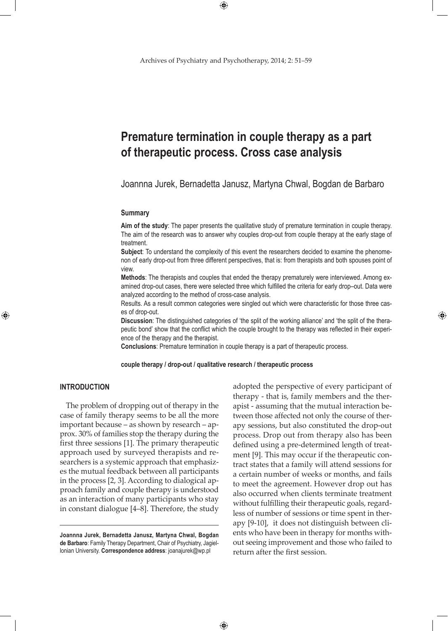$\bigoplus$ 

# **Premature termination in couple therapy as a part of therapeutic process. Cross case analysis**

Joannna Jurek, Bernadetta Janusz, Martyna Chwal, Bogdan de Barbaro

#### **Summary**

**Aim of the study**: The paper presents the qualitative study of premature termination in couple therapy. The aim of the research was to answer why couples drop-out from couple therapy at the early stage of treatment.

**Subject**: To understand the complexity of this event the researchers decided to examine the phenomenon of early drop-out from three different perspectives, that is: from therapists and both spouses point of view.

**Methods**: The therapists and couples that ended the therapy prematurely were interviewed. Among examined drop-out cases, there were selected three which fulfilled the criteria for early drop–out. Data were analyzed according to the method of cross-case analysis.

Results. As a result common categories were singled out which were characteristic for those three cases of drop-out.

**Discussion**: The distinguished categories of 'the split of the working alliance' and 'the split of the therapeutic bond' show that the conflict which the couple brought to the therapy was reflected in their experience of the therapy and the therapist.

**Conclusions**: Premature termination in couple therapy is a part of therapeutic process.

**couple therapy / drop-out / qualitative research / therapeutic process**

 $\bigoplus$ 

# **Introduction**

⊕

The problem of dropping out of therapy in the case of family therapy seems to be all the more important because – as shown by research – approx. 30% of families stop the therapy during the first three sessions [1]. The primary therapeutic approach used by surveyed therapists and researchers is a systemic approach that emphasizes the mutual feedback between all participants in the process [2, 3]. According to dialogical approach family and couple therapy is understood as an interaction of many participants who stay in constant dialogue [4–8]. Therefore, the study adopted the perspective of every participant of therapy - that is, family members and the therapist - assuming that the mutual interaction between those affected not only the course of therapy sessions, but also constituted the drop-out process. Drop out from therapy also has been defined using a pre-determined length of treatment [9]. This may occur if the therapeutic contract states that a family will attend sessions for a certain number of weeks or months, and fails to meet the agreement. However drop out has also occurred when clients terminate treatment without fulfilling their therapeutic goals, regardless of number of sessions or time spent in therapy [9-10], it does not distinguish between clients who have been in therapy for months without seeing improvement and those who failed to return after the first session.

⊕

**Joannna Jurek, Bernadetta Janusz, Martyna Chwal, Bogdan de Barbaro**: Family Therapy Department, Chair of Psychiatry, Jagiellonian University. **Correspondence address**: joanajurek@wp.pl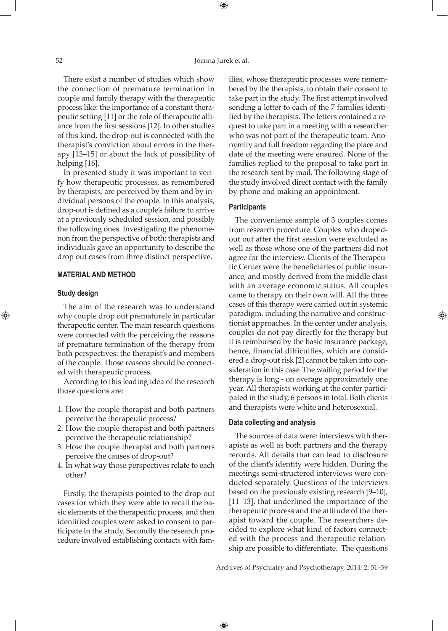⊕

There exist a number of studies which show the connection of premature termination in couple and family therapy with the therapeutic process like: the importance of a constant therapeutic setting [11] or the role of therapeutic alliance from the first sessions [12]. In other studies of this kind, the drop-out is connected with the therapist's conviction about errors in the therapy [13–15] or about the lack of possibility of helping [16].

In presented study it was important to verify how therapeutic processes, as remembered by therapists, are perceived by them and by individual persons of the couple. In this analysis, drop-out is defined as a couple's failure to arrive at a previously scheduled session, and possibly the following ones. Investigating the phenomenon from the perspective of both: therapists and individuals gave an opportunity to describe the drop out cases from three distinct perspective.

## **Material and method**

## **Study design**

⊕

The aim of the research was to understand why couple drop out prematurely in particular therapeutic center. The main research questions were connected with the perceiving the reasons of premature termination of the therapy from both perspectives: the therapist's and members of the couple. Those reasons should be connected with therapeutic process.

According to this leading idea of the research those questions are:

- 1. How the couple therapist and both partners perceive the therapeutic process?
- 2. How the couple therapist and both partners perceive the therapeutic relationship?
- 3. How the couple therapist and both partners perceive the causes of drop-out?
- 4. In what way those perspectives relate to each other?

Firstly, the therapists pointed to the drop-out cases for which they were able to recall the basic elements of the therapeutic process, and then identified couples were asked to consent to participate in the study. Secondly the research procedure involved establishing contacts with families, whose therapeutic processes were remembered by the therapists, to obtain their consent to take part in the study. The first attempt involved sending a letter to each of the 7 families identified by the therapists. The letters contained a request to take part in a meeting with a researcher who was not part of the therapeutic team. Anonymity and full freedom regarding the place and date of the meeting were ensured. None of the families replied to the proposal to take part in the research sent by mail. The following stage of the study involved direct contact with the family by phone and making an appointment.

## **Participants**

The convenience sample of 3 couples comes from research procedure. Couples who dropedout out after the first session were excluded as well as those whose one of the partners did not agree for the interview. Clients of the Therapeutic Center were the beneficiaries of public insurance, and mostly derived from the middle class with an average economic status. All couples came to therapy on their own will. All the three cases of this therapy were carried out in systemic paradigm, including the narrative and constructionist approaches. In the center under analysis, couples do not pay directly for the therapy but it is reimbursed by the basic insurance package, hence, financial difficulties, which are considered a drop-out risk [2] cannot be taken into consideration in this case. The waiting period for the therapy is long - on average approximately one year. All therapists working at the center participated in the study, 6 persons in total. Both clients and therapists were white and heterosexual.

⊕

#### **Data collecting and analysis**

 $\bigoplus$ 

The sources of data were: interviews with therapists as well as both partners and the therapy records. All details that can lead to disclosure of the client's identity were hidden. During the meetings semi-structered interviews were conducted separately. Questions of the interviews based on the previously existing research [9–10], [11–13], that underlined the importance of the therapeutic process and the attitude of the therapist toward the couple. The researchers decided to explore what kind of factors connected with the process and therapeutic relationship are possible to differentiate. The questions

Archives of Psychiatry and Psychotherapy, 2014; 2: 51–59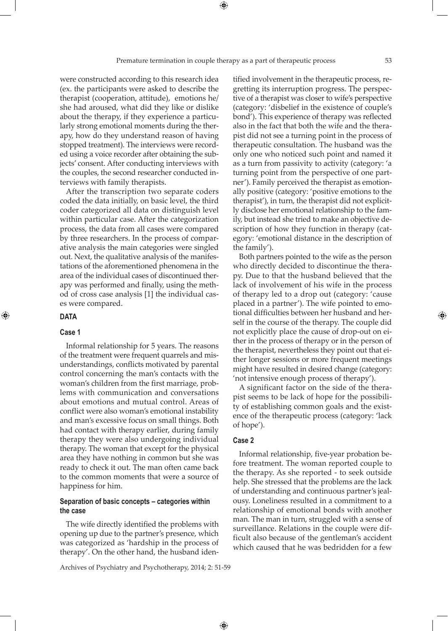were constructed according to this research idea (ex. the participants were asked to describe the therapist (cooperation, attitude), emotions he/ she had aroused, what did they like or dislike about the therapy, if they experience a particularly strong emotional moments during the therapy, how do they understand reason of having stopped treatment). The interviews were recorded using a voice recorder after obtaining the subjects' consent. After conducting interviews with the couples, the second researcher conducted interviews with family therapists.

After the transcription two separate coders coded the data initially, on basic level, the third coder categorized all data on distinguish level within particular case. After the categorization process, the data from all cases were compared by three researchers. In the process of comparative analysis the main categories were singled out. Next, the qualitative analysis of the manifestations of the aforementioned phenomena in the area of the individual cases of discontinued therapy was performed and finally, using the method of cross case analysis [1] the individual cases were compared.

# **Data**

⊕

## **Case 1**

Informal relationship for 5 years. The reasons of the treatment were frequent quarrels and misunderstandings, conflicts motivated by parental control concerning the man's contacts with the woman's children from the first marriage, problems with communication and conversations about emotions and mutual control. Areas of conflict were also woman's emotional instability and man's excessive focus on small things. Both had contact with therapy earlier, during family therapy they were also undergoing individual therapy. The woman that except for the physical area they have nothing in common but she was ready to check it out. The man often came back to the common moments that were a source of happiness for him.

# **Separation of basic concepts – categories within the case**

The wife directly identified the problems with opening up due to the partner's presence, which was categorized as 'hardship in the process of therapy'. On the other hand, the husband iden-

Archives of Psychiatry and Psychotherapy, 2014; 2: 51-59

tified involvement in the therapeutic process, regretting its interruption progress. The perspective of a therapist was closer to wife's perspective (category: 'disbelief in the existence of couple's bond'). This experience of therapy was reflected also in the fact that both the wife and the therapist did not see a turning point in the process of therapeutic consultation. The husband was the only one who noticed such point and named it as a turn from passivity to activity (category: 'a turning point from the perspective of one partner'). Family perceived the therapist as emotionally positive (category: 'positive emotions to the therapist'), in turn, the therapist did not explicitly disclose her emotional relationship to the family, but instead she tried to make an objective description of how they function in therapy (category: 'emotional distance in the description of the family').

Both partners pointed to the wife as the person who directly decided to discontinue the therapy. Due to that the husband believed that the lack of involvement of his wife in the process of therapy led to a drop out (category: 'cause placed in a partner'). The wife pointed to emotional difficulties between her husband and herself in the course of the therapy. The couple did not explicitly place the cause of drop-out on either in the process of therapy or in the person of the therapist, nevertheless they point out that either longer sessions or more frequent meetings might have resulted in desired change (category: 'not intensive enough process of therapy').

A significant factor on the side of the therapist seems to be lack of hope for the possibility of establishing common goals and the existence of the therapeutic process (category: 'lack of hope').

# **Case 2**

 $\bigoplus$ 

Informal relationship, five-year probation before treatment. The woman reported couple to the therapy. As she reported - to seek outside help. She stressed that the problems are the lack of understanding and continuous partner's jealousy. Loneliness resulted in a commitment to a relationship of emotional bonds with another man. The man in turn, struggled with a sense of surveillance. Relations in the couple were difficult also because of the gentleman's accident which caused that he was bedridden for a few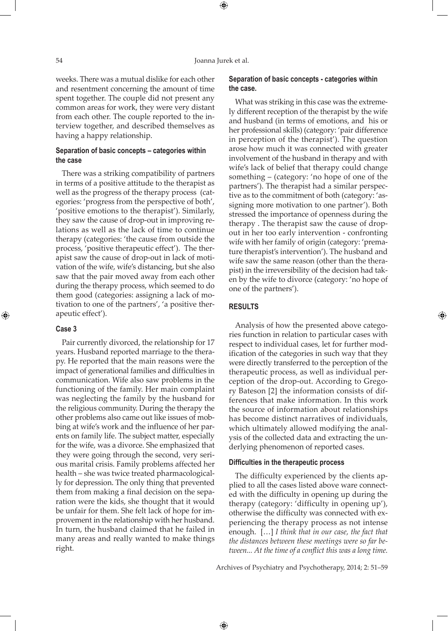#### 54 Joanna Jurek et al.

⊕

weeks. There was a mutual dislike for each other and resentment concerning the amount of time spent together. The couple did not present any common areas for work, they were very distant from each other. The couple reported to the interview together, and described themselves as having a happy relationship.

# **Separation of basic concepts – categories within the case**

There was a striking compatibility of partners in terms of a positive attitude to the therapist as well as the progress of the therapy process (categories: 'progress from the perspective of both', 'positive emotions to the therapist'). Similarly, they saw the cause of drop-out in improving relations as well as the lack of time to continue therapy (categories: 'the cause from outside the process, 'positive therapeutic effect'). The therapist saw the cause of drop-out in lack of motivation of the wife, wife's distancing, but she also saw that the pair moved away from each other during the therapy process, which seemed to do them good (categories: assigning a lack of motivation to one of the partners', 'a positive therapeutic effect').

## **Case 3**

⊕

Pair currently divorced, the relationship for 17 years. Husband reported marriage to the therapy. He reported that the main reasons were the impact of generational families and difficulties in communication. Wife also saw problems in the functioning of the family. Her main complaint was neglecting the family by the husband for the religious community. During the therapy the other problems also came out like issues of mobbing at wife's work and the influence of her parents on family life. The subject matter, especially for the wife, was a divorce. She emphasized that they were going through the second, very serious marital crisis. Family problems affected her health – she was twice treated pharmacologically for depression. The only thing that prevented them from making a final decision on the separation were the kids, she thought that it would be unfair for them. She felt lack of hope for improvement in the relationship with her husband. In turn, the husband claimed that he failed in many areas and really wanted to make things right.

## **Separation of basic concepts - categories within the case.**

What was striking in this case was the extremely different reception of the therapist by the wife and husband (in terms of emotions, and his or her professional skills) (category: 'pair difference in perception of the therapist'). The question arose how much it was connected with greater involvement of the husband in therapy and with wife's lack of belief that therapy could change something – (category: 'no hope of one of the partners'). The therapist had a similar perspective as to the commitment of both (category: 'assigning more motivation to one partner'). Both stressed the importance of openness during the therapy . The therapist saw the cause of dropout in her too early intervention - confronting wife with her family of origin (category: 'premature therapist's intervention'). The husband and wife saw the same reason (other than the therapist) in the irreversibility of the decision had taken by the wife to divorce (category: 'no hope of one of the partners').

#### **Results**

 $\bigoplus$ 

Analysis of how the presented above categories function in relation to particular cases with respect to individual cases, let for further modification of the categories in such way that they were directly transferred to the perception of the therapeutic process, as well as individual perception of the drop-out. According to Gregory Bateson [2] the information consists of differences that make information. In this work the source of information about relationships has become distinct narratives of individuals, which ultimately allowed modifying the analysis of the collected data and extracting the underlying phenomenon of reported cases.

## **Difficulties in the therapeutic process**

The difficulty experienced by the clients applied to all the cases listed above ware connected with the difficulty in opening up during the therapy (category: 'difficulty in opening up'), otherwise the difficulty was connected with experiencing the therapy process as not intense enough. […] *I think that in our case, the fact that the distances between these meetings were so far between... At the time of a conflict this was a long time.* 

Archives of Psychiatry and Psychotherapy, 2014; 2: 51–59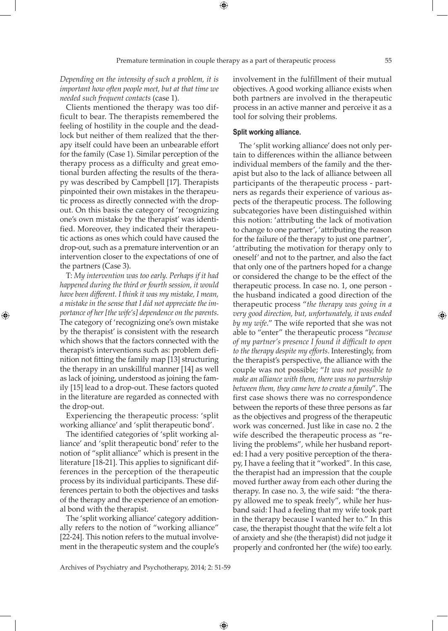*Depending on the intensity of such a problem, it is important how often people meet, but at that time we needed such frequent contacts* (case 1).

Clients mentioned the therapy was too difficult to bear. The therapists remembered the feeling of hostility in the couple and the deadlock but neither of them realized that the therapy itself could have been an unbearable effort for the family (Case 1). Similar perception of the therapy process as a difficulty and great emotional burden affecting the results of the therapy was described by Campbell [17]. Therapists pinpointed their own mistakes in the therapeutic process as directly connected with the dropout. On this basis the category of 'recognizing one's own mistake by the therapist' was identified. Moreover, they indicated their therapeutic actions as ones which could have caused the drop-out, such as a premature intervention or an intervention closer to the expectations of one of the partners (Case 3).

T: *My intervention was too early. Perhaps if it had happened during the third or fourth session, it would have been different. I think it was my mistake, I mean, a mistake in the sense that I did not appreciate the importance of her [the wife's] dependence on the parents*. The category of 'recognizing one's own mistake by the therapist' is consistent with the research which shows that the factors connected with the therapist's interventions such as: problem definition not fitting the family map [13] structuring the therapy in an unskillful manner [14] as well as lack of joining, understood as joining the family [15] lead to a drop-out. These factors quoted in the literature are regarded as connected with the drop-out.

⊕

Experiencing the therapeutic process: 'split working alliance' and 'split therapeutic bond'.

The identified categories of 'split working alliance' and 'split therapeutic bond' refer to the notion of "split alliance" which is present in the literature [18-21]. This applies to significant differences in the perception of the therapeutic process by its individual participants. These differences pertain to both the objectives and tasks of the therapy and the experience of an emotional bond with the therapist.

The 'split working alliance' category additionally refers to the notion of "working alliance" [22-24]. This notion refers to the mutual involvement in the therapeutic system and the couple's

involvement in the fulfillment of their mutual objectives. A good working alliance exists when both partners are involved in the therapeutic process in an active manner and perceive it as a tool for solving their problems.

#### **Split working alliance.**

The 'split working alliance' does not only pertain to differences within the alliance between individual members of the family and the therapist but also to the lack of alliance between all participants of the therapeutic process - partners as regards their experience of various aspects of the therapeutic process. The following subcategories have been distinguished within this notion: 'attributing the lack of motivation to change to one partner', 'attributing the reason for the failure of the therapy to just one partner', 'attributing the motivation for therapy only to oneself' and not to the partner, and also the fact that only one of the partners hoped for a change or considered the change to be the effect of the therapeutic process. In case no. 1, one person the husband indicated a good direction of the therapeutic process "*the therapy was going in a very good direction, but, unfortunately, it was ended by my wife*." The wife reported that she was not able to "enter" the therapeutic process "*because of my partner's presence I found it difficult to open to the therapy despite my efforts*. Interestingly, from the therapist's perspective, the alliance with the couple was not possible; "*It was not possible to make an alliance with them, there was no partnership between them, they came here to create a family*". The first case shows there was no correspondence between the reports of these three persons as far as the objectives and progress of the therapeutic work was concerned. Just like in case no. 2 the wife described the therapeutic process as "reliving the problems", while her husband reported: I had a very positive perception of the therapy, I have a feeling that it "worked". In this case, the therapist had an impression that the couple moved further away from each other during the therapy. In case no. 3, the wife said: "the therapy allowed me to speak freely", while her husband said: I had a feeling that my wife took part in the therapy because I wanted her to." In this case, the therapist thought that the wife felt a lot of anxiety and she (the therapist) did not judge it properly and confronted her (the wife) too early.

 $\bigoplus$ 

Archives of Psychiatry and Psychotherapy, 2014; 2: 51-59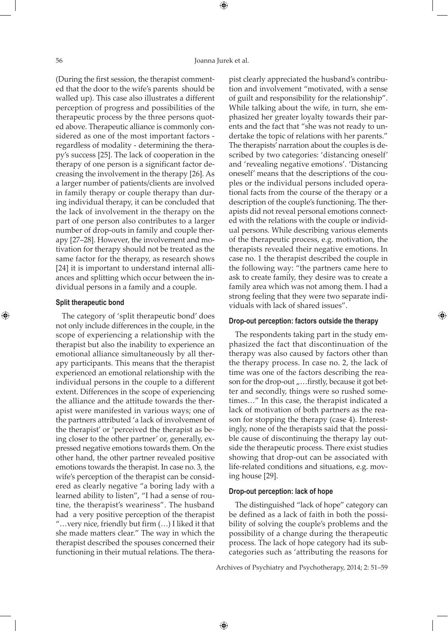⊕

(During the first session, the therapist commented that the door to the wife's parents should be walled up). This case also illustrates a different perception of progress and possibilities of the therapeutic process by the three persons quoted above. Therapeutic alliance is commonly considered as one of the most important factors regardless of modality - determining the therapy's success [25]. The lack of cooperation in the therapy of one person is a significant factor decreasing the involvement in the therapy [26]. As a larger number of patients/clients are involved in family therapy or couple therapy than during individual therapy, it can be concluded that the lack of involvement in the therapy on the part of one person also contributes to a larger number of drop-outs in family and couple therapy [27–28]. However, the involvement and motivation for therapy should not be treated as the same factor for the therapy, as research shows [24] it is important to understand internal alliances and splitting which occur between the individual persons in a family and a couple.

#### **Split therapeutic bond**

⊕

The category of 'split therapeutic bond' does not only include differences in the couple, in the scope of experiencing a relationship with the therapist but also the inability to experience an emotional alliance simultaneously by all therapy participants. This means that the therapist experienced an emotional relationship with the individual persons in the couple to a different extent. Differences in the scope of experiencing the alliance and the attitude towards the therapist were manifested in various ways; one of the partners attributed 'a lack of involvement of the therapist' or 'perceived the therapist as being closer to the other partner' or, generally, expressed negative emotions towards them. On the other hand, the other partner revealed positive emotions towards the therapist. In case no. 3, the wife's perception of the therapist can be considered as clearly negative "a boring lady with a learned ability to listen", "I had a sense of routine, the therapist's weariness". The husband had a very positive perception of the therapist "…very nice, friendly but firm (…) I liked it that she made matters clear." The way in which the therapist described the spouses concerned their functioning in their mutual relations. The therapist clearly appreciated the husband's contribution and involvement "motivated, with a sense of guilt and responsibility for the relationship". While talking about the wife, in turn, she emphasized her greater loyalty towards their parents and the fact that "she was not ready to undertake the topic of relations with her parents." The therapists' narration about the couples is described by two categories: 'distancing oneself' and 'revealing negative emotions'. 'Distancing oneself' means that the descriptions of the couples or the individual persons included operational facts from the course of the therapy or a description of the couple's functioning. The therapists did not reveal personal emotions connected with the relations with the couple or individual persons. While describing various elements of the therapeutic process, e.g. motivation, the therapists revealed their negative emotions. In case no. 1 the therapist described the couple in the following way: "the partners came here to ask to create family, they desire was to create a family area which was not among them. I had a strong feeling that they were two separate individuals with lack of shared issues".

# **Drop-out perception: factors outside the therapy**

The respondents taking part in the study emphasized the fact that discontinuation of the therapy was also caused by factors other than the therapy process. In case no. 2, the lack of time was one of the factors describing the reason for the drop-out "...firstly, because it got better and secondly, things were so rushed sometimes…" In this case, the therapist indicated a lack of motivation of both partners as the reason for stopping the therapy (case 4). Interestingly, none of the therapists said that the possible cause of discontinuing the therapy lay outside the therapeutic process. There exist studies showing that drop-out can be associated with life-related conditions and situations, e.g. moving house [29].

# **Drop-out perception: lack of hope**

 $\bigoplus$ 

The distinguished "lack of hope" category can be defined as a lack of faith in both the possibility of solving the couple's problems and the possibility of a change during the therapeutic process. The lack of hope category had its subcategories such as 'attributing the reasons for

Archives of Psychiatry and Psychotherapy, 2014; 2: 51–59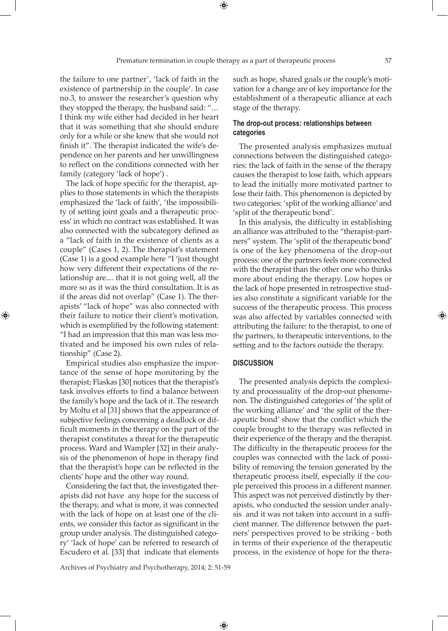⊕

the failure to one partner', 'lack of faith in the existence of partnership in the couple'. In case no.3, to answer the researcher's question why they stopped the therapy, the husband said: "… I think my wife either had decided in her heart that it was something that she should endure only for a while or she knew that she would not finish it". The therapist indicated the wife's dependence on her parents and her unwillingness to reflect on the conditions connected with her family (category 'lack of hope') .

The lack of hope specific for the therapist, applies to those statements in which the therapists emphasized the 'lack of faith', 'the impossibility of setting joint goals and a therapeutic process' in which no contract was established. It was also connected with the subcategory defined as a "lack of faith in the existence of clients as a couple" (Cases 1, 2). The therapist's statement (Case 1) is a good example here "I 'just thought how very different their expectations of the relationship are.... that it is not going well, all the more so as it was the third consultation. It is as if the areas did not overlap" (Case 1). The therapists' "lack of hope" was also connected with their failure to notice their client's motivation, which is exemplified by the following statement: "I had an impression that this man was less motivated and he imposed his own rules of relationship" (Case 2).

⊕

Empirical studies also emphasize the importance of the sense of hope monitoring by the therapist; Flaskas [30] notices that the therapist's task involves efforts to find a balance between the family's hope and the lack of it. The research by Moltu et al [31] shows that the appearance of subjective feelings concerning a deadlock or difficult moments in the therapy on the part of the therapist constitutes a threat for the therapeutic process. Ward and Wampler [32] in their analysis of the phenomenon of hope in therapy find that the therapist's hope can be reflected in the clients' hope and the other way round.

Considering the fact that, the investigated therapists did not have any hope for the success of the therapy, and what is more, it was connected with the lack of hope on at least one of the clients, we consider this factor as significant in the group under analysis. The distinguished category' 'lack of hope' can be referred to research of Escudero et al. [33] that indicate that elements

such as hope, shared goals or the couple's motivation for a change are of key importance for the establishment of a therapeutic alliance at each stage of the therapy.

## **The drop-out process: relationships between categories**

The presented analysis emphasizes mutual connections between the distinguished categories: the lack of faith in the sense of the therapy causes the therapist to lose faith, which appears to lead the initially more motivated partner to lose their faith. This phenomenon is depicted by two categories: 'split of the working alliance' and 'split of the therapeutic bond'.

In this analysis, the difficulty in establishing an alliance was attributed to the "therapist-partners" system. The 'split of the therapeutic bond' is one of the key phenomena of the drop-out process: one of the partners feels more connected with the therapist than the other one who thinks more about ending the therapy. Low hopes or the lack of hope presented in retrospective studies also constitute a significant variable for the success of the therapeutic process. This process was also affected by variables connected with attributing the failure: to the therapist, to one of the partners, to therapeutic interventions, to the setting and to the factors outside the therapy.

#### **Discussion**

 $\bigoplus$ 

The presented analysis depicts the complexity and processuality of the drop-out phenomenon. The distinguished categories of 'the split of the working alliance' and 'the split of the therapeutic bond' show that the conflict which the couple brought to the therapy was reflected in their experience of the therapy and the therapist. The difficulty in the therapeutic process for the couples was connected with the lack of possibility of removing the tension generated by the therapeutic process itself, especially if the couple perceived this process in a different manner. This aspect was not perceived distinctly by therapists, who conducted the session under analysis and it was not taken into account in a sufficient manner. The difference between the partners' perspectives proved to be striking - both in terms of their experience of the therapeutic process, in the existence of hope for the thera-

Archives of Psychiatry and Psychotherapy, 2014; 2: 51-59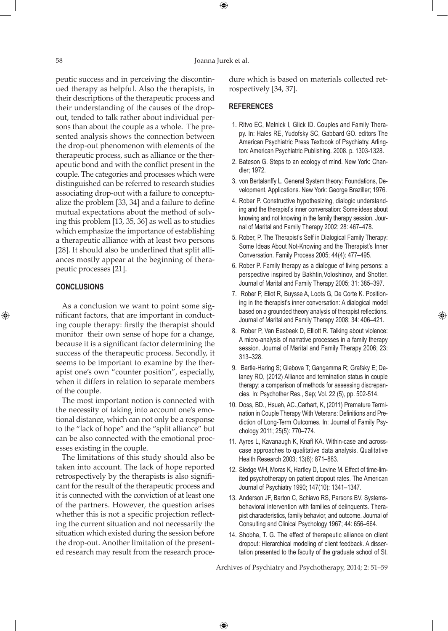#### 58 Joanna Jurek et al.

 $\bigoplus$ 

peutic success and in perceiving the discontinued therapy as helpful. Also the therapists, in their descriptions of the therapeutic process and their understanding of the causes of the dropout, tended to talk rather about individual persons than about the couple as a whole. The presented analysis shows the connection between the drop-out phenomenon with elements of the therapeutic process, such as alliance or the therapeutic bond and with the conflict present in the couple. The categories and processes which were distinguished can be referred to research studies associating drop-out with a failure to conceptualize the problem [33, 34] and a failure to define mutual expectations about the method of solving this problem [13, 35, 36] as well as to studies which emphasize the importance of establishing a therapeutic alliance with at least two persons [28]. It should also be underlined that split alliances mostly appear at the beginning of therapeutic processes [21].

## **Conclusions**

⊕

As a conclusion we want to point some significant factors, that are important in conducting couple therapy: firstly the therapist should monitor their own sense of hope for a change, because it is a significant factor determining the success of the therapeutic process. Secondly, it seems to be important to examine by the therapist one's own "counter position", especially, when it differs in relation to separate members of the couple.

The most important notion is connected with the necessity of taking into account one's emotional distance, which can not only be a response to the "lack of hope" and the "split alliance" but can be also connected with the emotional processes existing in the couple.

The limitations of this study should also be taken into account. The lack of hope reported retrospectively by the therapists is also significant for the result of the therapeutic process and it is connected with the conviction of at least one of the partners. However, the question arises whether this is not a specific projection reflecting the current situation and not necessarily the situation which existed during the session before the drop-out. Another limitation of the presented research may result from the research procedure which is based on materials collected retrospectively [34, 37].

#### **References**

- 1. Ritvo EC, Melnick I, Glick ID. Couples and Family Therapy. In: Hales RE, Yudofsky SC, Gabbard GO. editors The American Psychiatric Press Textbook of Psychiatry. Arlington: American Psychiatric Publishing. 2008. p. 1303-1328.
- 2. Bateson G. Steps to an ecology of mind. New York: Chandler; 1972.
- 3. von Bertalanffy L. General System theory: Foundations, Development, Applications. New York: George Braziller; 1976.
- 4. Rober P. Constructive hypothesizing, dialogic understanding and the therapist's inner conversation: Some ideas about knowing and not knowing in the family therapy session. Journal of Marital and Family Therapy 2002; 28: 467–478.
- 5. Rober, P. The Therapist's Self in Dialogical Family Therapy: Some Ideas About Not-Knowing and the Therapist's Inner Conversation. Family Process 2005; 44(4): 477–495.
- 6. Rober P. Family therapy as a dialogue of living persons: a perspective inspired by Bakhtin,Voloshinov, and Shotter. Journal of Marital and Family Therapy 2005; 31: 385–397.
- 7. Rober P, Eliot R, Buysse A, Loots G, De Corte K. Positioning in the therapist's inner conversation: A dialogical model based on a grounded theory analysis of therapist reflections. Journal of Marital and Family Therapy 2008; 34: 406–421.

⊕

- 8. Rober P, Van Easbeek D, Elliott R. Talking about violence: A micro-analysis of narrative processes in a family therapy session. Journal of Marital and Family Therapy 2006; 23: 313–328.
- 9. Bartle-Haring S; Glebova T; Gangamma R; Grafsky E; Delaney RO, (2012) Alliance and termination status in couple therapy: a comparison of methods for assessing discrepancies. In: Psychother Res., Sep; Vol. 22 (5), pp. 502-514.
- 10. Doss, BD., Hsueh, AC.,Carhart, K, (2011) Premature Termination in Couple Therapy With Veterans: Definitions and Prediction of Long-Term Outcomes. In: Journal of Family Psychology 2011; 25(5): 770–774.
- 11. Ayres L, Kavanaugh K, Knafl KA. Within-case and acrosscase approaches to qualitative data analysis. Qualitative Health Research 2003; 13(6): 871–883.
- 12. Sledge WH, Moras K, Hartley D, Levine M. Effect of time-limited psychotherapy on patient dropout rates. The American Journal of Psychiatry 1990; 147(10): 1341–1347.
- 13. Anderson JF, Barton C, Schiavo RS, Parsons BV. Systemsbehavioral intervention with families of delinquents. Therapist characteristics, family behavior, and outcome. Journal of Consulting and Clinical Psychology 1967; 44: 656–664.
- 14. Shobha, T. G. The effect of therapeutic alliance on client dropout: Hierarchical modeling of client feedback. A dissertation presented to the faculty of the graduate school of St.

Archives of Psychiatry and Psychotherapy, 2014; 2: 51–59

 $\bigoplus$